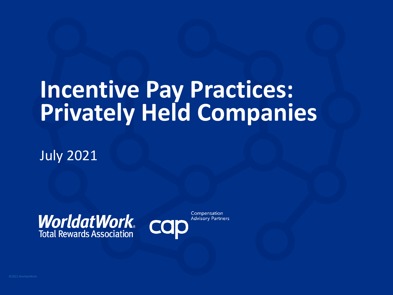## **Incentive Pay Practices: Privately Held Companies**

July 2021

**WorldatWork**<br>Total Rewards Association



Compensation **Advisory Partners**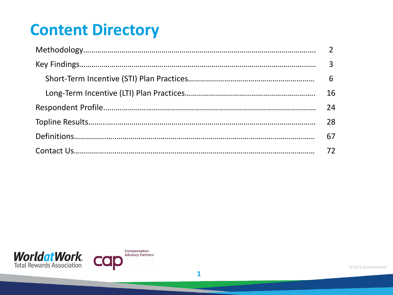### **Content Directory**

| 16 |
|----|
| 24 |
| 28 |
| 67 |
|    |



©2021 WorldatWork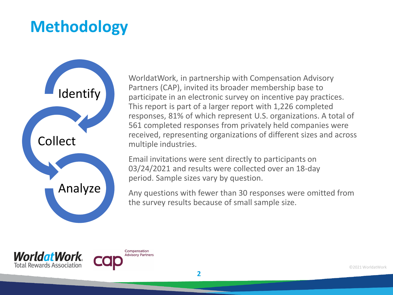### **Methodology**



WorldatWork, in partnership with Compensation Advisory Partners (CAP), invited its broader membership base to participate in an electronic survey on incentive pay practices. This report is part of a larger report with 1,226 completed responses, 81% of which represent U.S. organizations. A total of 561 completed responses from privately held companies were received, representing organizations of different sizes and across multiple industries.

Email invitations were sent directly to participants on 03/24/2021 and results were collected over an 18-day period. Sample sizes vary by question.

Any questions with fewer than 30 responses were omitted from the survey results because of small sample size.



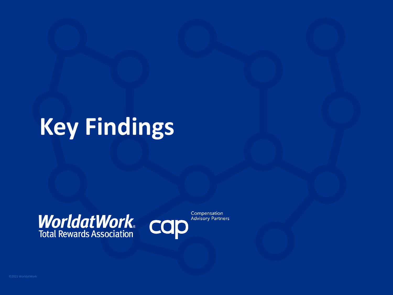## **Key Findings**

# **WorldatWork** COD



Compensation **Advisory Partners**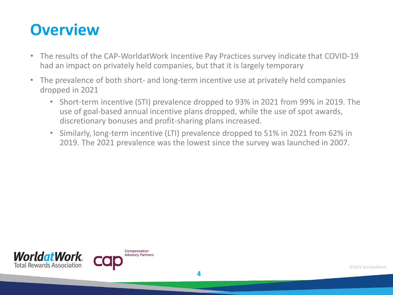### **Overview**

- The results of the CAP-WorldatWork Incentive Pay Practices survey indicate that COVID-19 had an impact on privately held companies, but that it is largely temporary
- The prevalence of both short- and long-term incentive use at privately held companies dropped in 2021
	- Short-term incentive (STI) prevalence dropped to 93% in 2021 from 99% in 2019. The use of goal-based annual incentive plans dropped, while the use of spot awards, discretionary bonuses and profit-sharing plans increased.
	- Similarly, long-term incentive (LTI) prevalence dropped to 51% in 2021 from 62% in 2019. The 2021 prevalence was the lowest since the survey was launched in 2007.

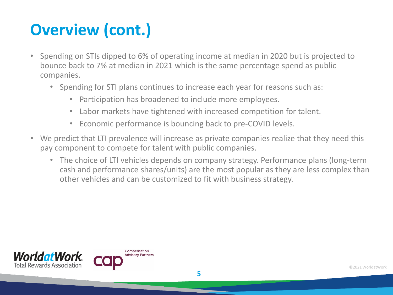### **Overview (cont.)**

- Spending on STIs dipped to 6% of operating income at median in 2020 but is projected to bounce back to 7% at median in 2021 which is the same percentage spend as public companies.
	- Spending for STI plans continues to increase each year for reasons such as:
		- Participation has broadened to include more employees.
		- Labor markets have tightened with increased competition for talent.
		- Economic performance is bouncing back to pre-COVID levels.
- We predict that LTI prevalence will increase as private companies realize that they need this pay component to compete for talent with public companies.
	- The choice of LTI vehicles depends on company strategy. Performance plans (long-term cash and performance shares/units) are the most popular as they are less complex than other vehicles and can be customized to fit with business strategy.

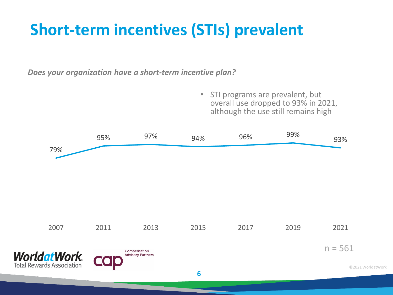### **Short-term incentives (STIs) prevalent**

*Does your organization have a short-term incentive plan?*

• STI programs are prevalent, but overall use dropped to 93% in 2021, although the use still remains high

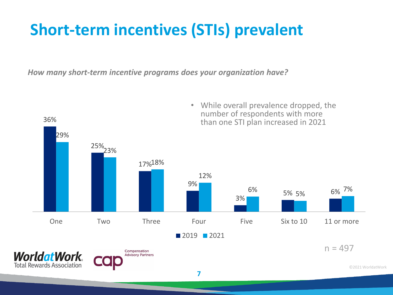### **Short-term incentives (STIs) prevalent**

*How many short-term incentive programs does your organization have?*

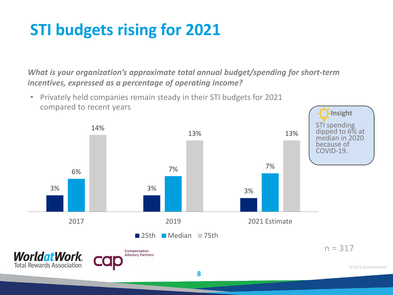### **STI budgets rising for 2021**

*What is your organization's approximate total annual budget/spending for short-term incentives, expressed as a percentage of operating income?* 

• Privately held companies remain steady in their STI budgets for 2021 compared to recent years

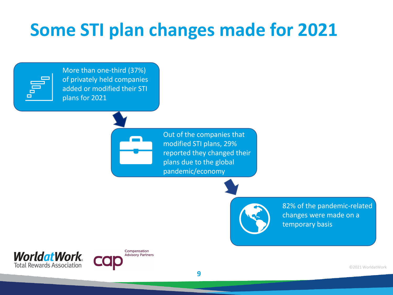### **Some STI plan changes made for 2021**



More than one-third (37%) of privately held companies added or modified their STI plans for 2021

> Out of the companies that modified STI plans, 29% reported they changed their plans due to the global pandemic/economy

> > **9**

82% of the pandemic-related changes were made on a temporary basis



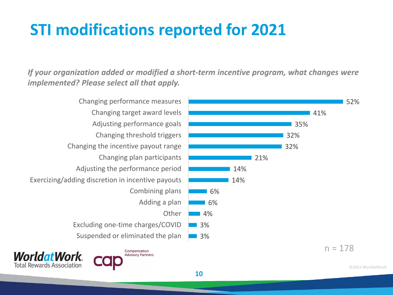### **STI modifications reported for 2021**

*If your organization added or modified a short-term incentive program, what changes were implemented? Please select all that apply.*

**10**

Suspended or eliminated the plan Excluding one-time charges/COVID **Other** Adding a plan Combining plans Exercizing/adding discretion in incentive payouts Adjusting the performance period Changing plan participants Changing the incentive payout range Changing threshold triggers Adjusting performance goals Changing target award levels Changing performance measures

**Worldat Work** 

**Total Rewards Association** 

Compensation

**Advisory Partners** 



52%

©2021 WorldatWork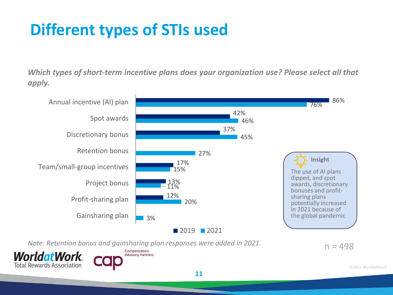### **Different types of STIs used**

*Which types of short-term incentive plans does your organization use? Please select all that apply.* 



*Note: Retention bonus and gainsharing plan responses were added in 2021.*





 $n = 498$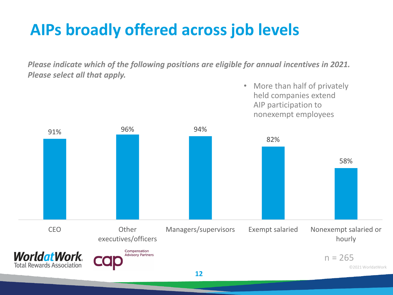### **AIPs broadly offered across job levels**

*Please indicate which of the following positions are eligible for annual incentives in 2021. Please select all that apply.* 

> • More than half of privately held companies extend

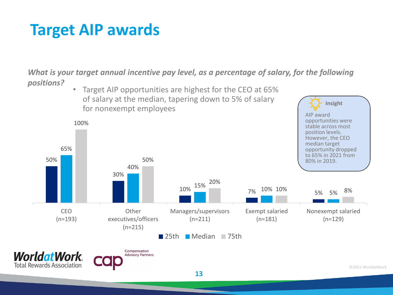### **Target AIP awards**

*What is your target annual incentive pay level, as a percentage of salary, for the following positions?* 

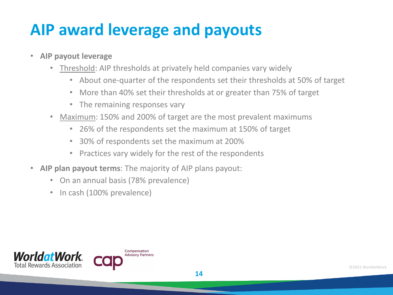### **AIP award leverage and payouts**

- **AIP payout leverage**
	- Threshold: AIP thresholds at privately held companies vary widely
		- About one-quarter of the respondents set their thresholds at 50% of target
		- More than 40% set their thresholds at or greater than 75% of target
		- The remaining responses vary
	- Maximum: 150% and 200% of target are the most prevalent maximums
		- 26% of the respondents set the maximum at 150% of target
		- 30% of respondents set the maximum at 200%
		- Practices vary widely for the rest of the respondents
- **AIP plan payout terms**: The majority of AIP plans payout:
	- On an annual basis (78% prevalence)
	- In cash (100% prevalence)

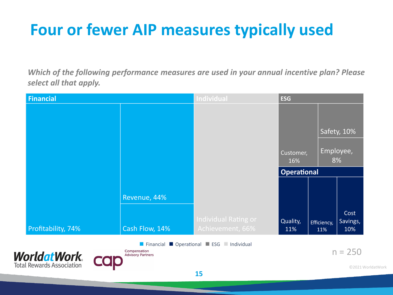### **Four or fewer AIP measures typically used**

*Which of the following performance measures are used in your annual incentive plan? Please select all that apply.* 

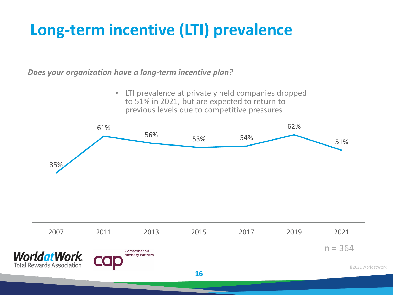### **Long-term incentive (LTI) prevalence**

*Does your organization have a long-term incentive plan?*

• LTI prevalence at privately held companies dropped to 51% in 2021, but are expected to return to previous levels due to competitive pressures

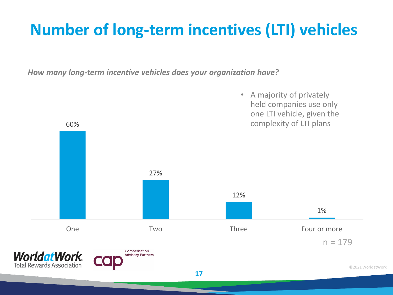### **Number of long-term incentives (LTI) vehicles**

*How many long-term incentive vehicles does your organization have?*

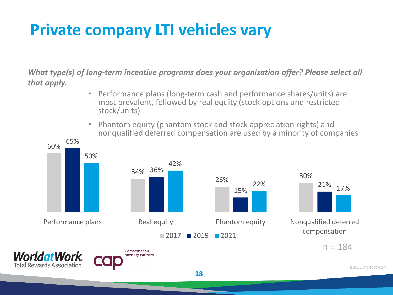### **Private company LTI vehicles vary**

*What type(s) of long-term incentive programs does your organization offer? Please select all that apply.* 

- Performance plans (long-term cash and performance shares/units) are most prevalent, followed by real equity (stock options and restricted stock/units)
- Phantom equity (phantom stock and stock appreciation rights) and nonqualified deferred compensation are used by a minority of companies

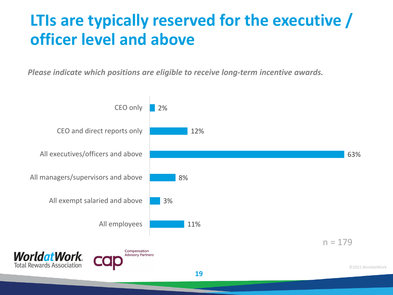### **LTIs are typically reserved for the executive / officer level and above**

*Please indicate which positions are eligible to receive long-term incentive awards.* 

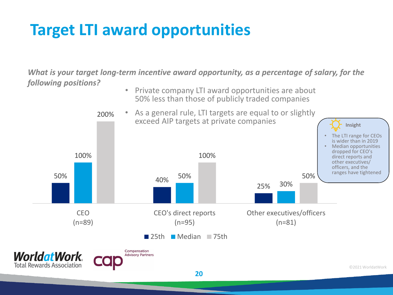### **Target LTI award opportunities**

*What is your target long-term incentive award opportunity, as a percentage of salary, for the following positions?*

• Private company LTI award opportunities are about 50% less than those of publicly traded companies

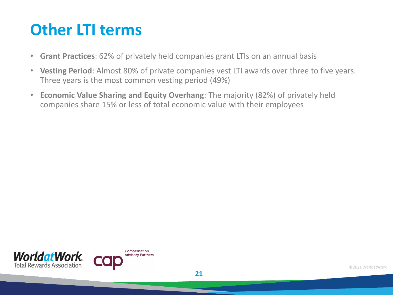### **Other LTI terms**

- **Grant Practices**: 62% of privately held companies grant LTIs on an annual basis
- **Vesting Period**: Almost 80% of private companies vest LTI awards over three to five years. Three years is the most common vesting period (49%)
- **Economic Value Sharing and Equity Overhang**: The majority (82%) of privately held companies share 15% or less of total economic value with their employees

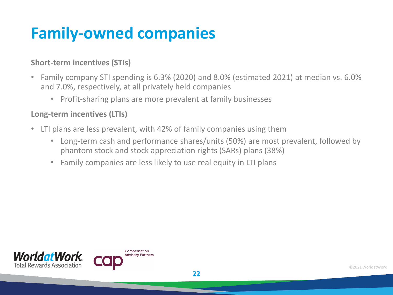### **Family-owned companies**

#### **Short-term incentives (STIs)**

- Family company STI spending is 6.3% (2020) and 8.0% (estimated 2021) at median vs. 6.0% and 7.0%, respectively, at all privately held companies
	- Profit-sharing plans are more prevalent at family businesses

#### **Long-term incentives (LTIs)**

- LTI plans are less prevalent, with 42% of family companies using them
	- Long-term cash and performance shares/units (50%) are most prevalent, followed by phantom stock and stock appreciation rights (SARs) plans (38%)
	- Family companies are less likely to use real equity in LTI plans



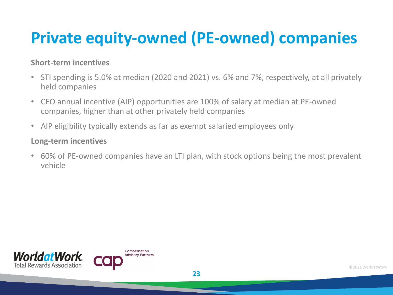### **Private equity-owned (PE-owned) companies**

#### **Short-term incentives**

- STI spending is 5.0% at median (2020 and 2021) vs. 6% and 7%, respectively, at all privately held companies
- CEO annual incentive (AIP) opportunities are 100% of salary at median at PE-owned companies, higher than at other privately held companies
- AIP eligibility typically extends as far as exempt salaried employees only

#### **Long-term incentives**

• 60% of PE-owned companies have an LTI plan, with stock options being the most prevalent vehicle

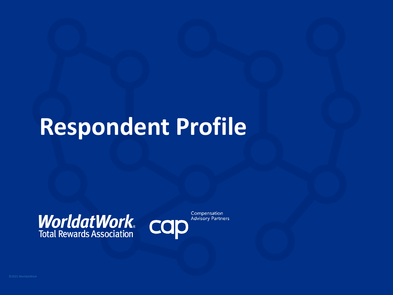## **Respondent Profile**

# **WorldatWork** COD



Compensation **Advisory Partners**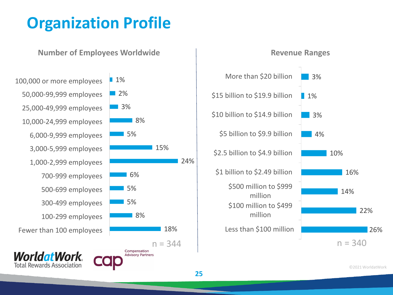### **Organization Profile**





**25**

18%

15%

24%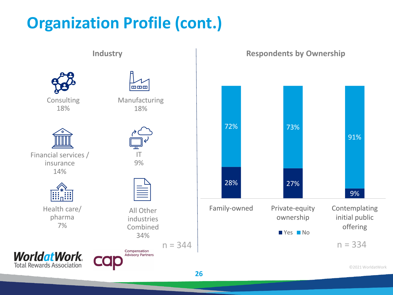### **Organization Profile (cont.)**

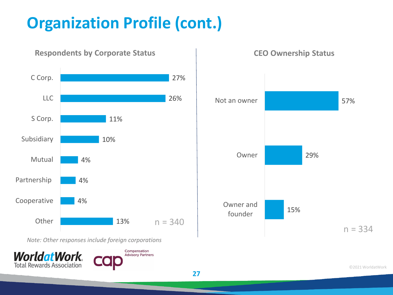### **Organization Profile (cont.)**



#### **Respondents by Corporate Status**

**CEO Ownership Status**



*Note: Other responses include foreign corporations*



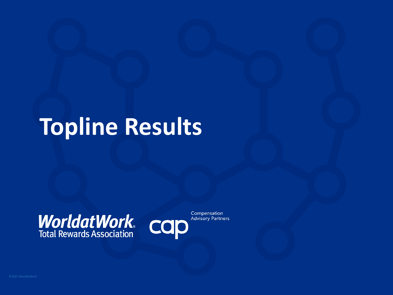## **Topline Results**

# **WorldatWork** COD



Compensation **Advisory Partners**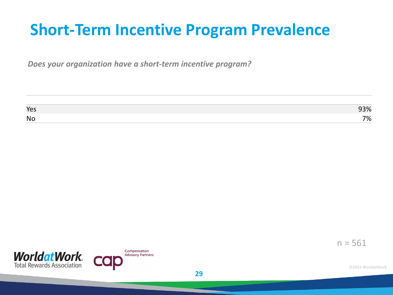### **Short-Term Incentive Program Prevalence**

*Does your organization have a short-term incentive program?*

| Yes       | 3% |
|-----------|----|
| <b>No</b> | 7% |



 $n = 561$ 

**29**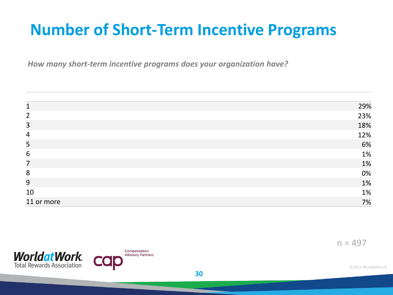### **Number of Short-Term Incentive Programs**

*How many short-term incentive programs does your organization have?*

| 1              | 29% |
|----------------|-----|
| $\overline{2}$ | 23% |
| $\overline{3}$ | 18% |
| $\overline{4}$ | 12% |
| 5              | 6%  |
| 6              | 1%  |
| $\overline{7}$ | 1%  |
| 8              | 0%  |
| 9              | 1%  |
| 10             | 1%  |
| 11 or more     | 7%  |

 $n = 497$ 

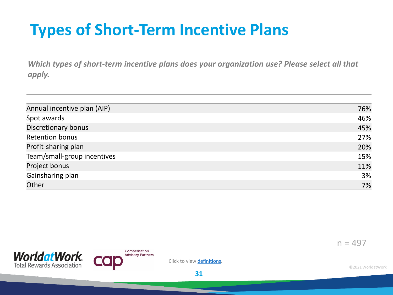### **Types of Short-Term Incentive Plans**

*Which types of short-term incentive plans does your organization use? Please select all that apply.* 

| Annual incentive plan (AIP) | 76% |
|-----------------------------|-----|
| Spot awards                 | 46% |
| Discretionary bonus         | 45% |
| <b>Retention bonus</b>      | 27% |
| Profit-sharing plan         | 20% |
| Team/small-group incentives | 15% |
| Project bonus               | 11% |
| Gainsharing plan            | 3%  |
| Other                       | 7%  |





Click to view definitions.

**31**

 $n = 497$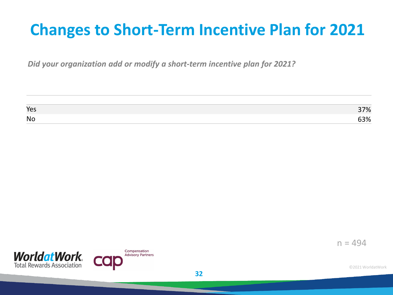### **Changes to Short-Term Incentive Plan for 2021**

*Did your organization add or modify a short-term incentive plan for 2021?*

| Yes       | 7%  |
|-----------|-----|
| <b>No</b> | 53% |



 $n = 494$ 

**32**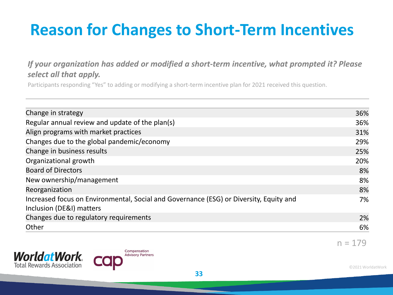### **Reason for Changes to Short-Term Incentives**

#### *If your organization has added or modified a short-term incentive, what prompted it? Please select all that apply.*

Participants responding "Yes" to adding or modifying a short-term incentive plan for 2021 received this question.

| Change in strategy                                                                                                 | 36% |
|--------------------------------------------------------------------------------------------------------------------|-----|
| Regular annual review and update of the plan(s)                                                                    | 36% |
| Align programs with market practices                                                                               | 31% |
| Changes due to the global pandemic/economy                                                                         | 29% |
| Change in business results                                                                                         | 25% |
| Organizational growth                                                                                              | 20% |
| <b>Board of Directors</b>                                                                                          | 8%  |
| New ownership/management                                                                                           | 8%  |
| Reorganization                                                                                                     | 8%  |
| Increased focus on Environmental, Social and Governance (ESG) or Diversity, Equity and<br>Inclusion (DE&I) matters | 7%  |
| Changes due to regulatory requirements                                                                             | 2%  |
| Other                                                                                                              | 6%  |

**33**





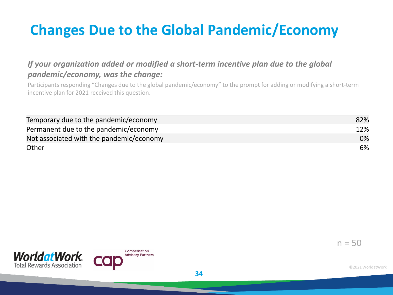### **Changes Due to the Global Pandemic/Economy**

#### *If your organization added or modified a short-term incentive plan due to the global pandemic/economy, was the change:*

Participants responding "Changes due to the global pandemic/economy" to the prompt for adding or modifying a short-term incentive plan for 2021 received this question.

| Temporary due to the pandemic/economy    | 82% |
|------------------------------------------|-----|
| Permanent due to the pandemic/economy    | 12% |
| Not associated with the pandemic/economy | 0%  |
| Other                                    | 6%  |

**34**



Compensation **Advisory Partners**   $n = 50$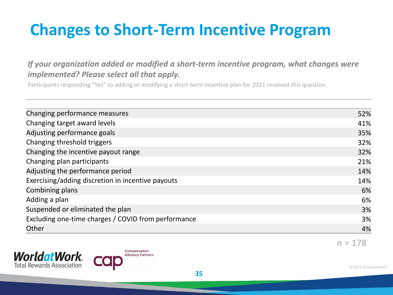### **Changes to Short-Term Incentive Program**

#### *If your organization added or modified a short-term incentive program, what changes were implemented? Please select all that apply.*

Participants responding "Yes" to adding or modifying a short-term incentive plan for 2021 received this question.

| Changing performance measures                       | 52% |
|-----------------------------------------------------|-----|
| Changing target award levels                        | 41% |
| Adjusting performance goals                         | 35% |
| Changing threshold triggers                         | 32% |
| Changing the incentive payout range                 | 32% |
| Changing plan participants                          | 21% |
| Adjusting the performance period                    | 14% |
| Exercising/adding discretion in incentive payouts   | 14% |
| Combining plans                                     | 6%  |
| Adding a plan                                       | 6%  |
| Suspended or eliminated the plan                    | 3%  |
| Excluding one-time charges / COVID from performance | 3%  |
| Other                                               | 4%  |





 $n = 178$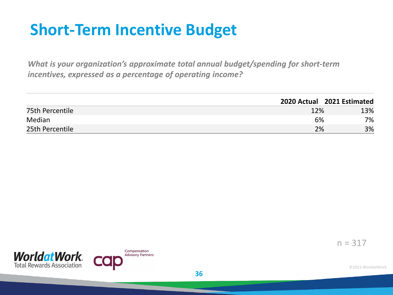### **Short-Term Incentive Budget**

*What is your organization's approximate total annual budget/spending for short-term incentives, expressed as a percentage of operating income?* 

|                 |     | 2020 Actual 2021 Estimated |
|-----------------|-----|----------------------------|
| 75th Percentile | 12% | 13%                        |
| Median          | 6%  | 7%                         |
| 25th Percentile | 2%  | 3%                         |



 $n = 317$ 

©2021 WorldatWork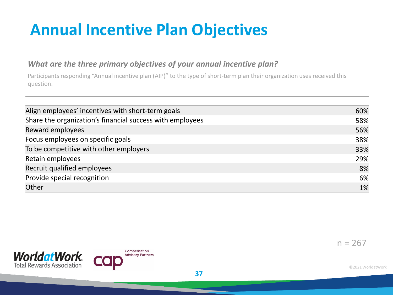### **Annual Incentive Plan Objectives**

#### *What are the three primary objectives of your annual incentive plan?*

Participants responding "Annual incentive plan (AIP)" to the type of short-term plan their organization uses received this question.

| 60% |
|-----|
| 58% |
| 56% |
| 38% |
| 33% |
| 29% |
| 8%  |
| 6%  |
| 1%  |
|     |

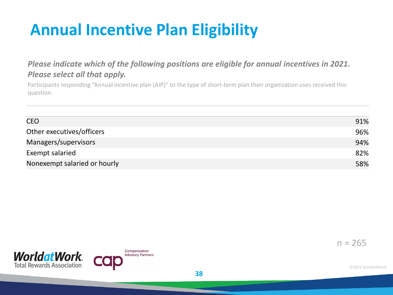### **Annual Incentive Plan Eligibility**

#### *Please indicate which of the following positions are eligible for annual incentives in 2021. Please select all that apply.*

Participants responding "Annual incentive plan (AIP)" to the type of short-term plan their organization uses received this question.

| <b>CEO</b>                   | 91% |
|------------------------------|-----|
| Other executives/officers    | 96% |
| Managers/supervisors         | 94% |
| Exempt salaried              | 82% |
| Nonexempt salaried or hourly | 58% |



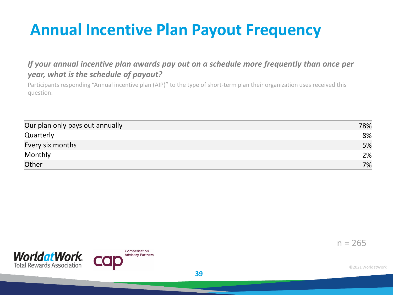### **Annual Incentive Plan Payout Frequency**

#### *If your annual incentive plan awards pay out on a schedule more frequently than once per year, what is the schedule of payout?*

Participants responding "Annual incentive plan (AIP)" to the type of short-term plan their organization uses received this question.

| Our plan only pays out annually | 78% |
|---------------------------------|-----|
| Quarterly                       | 8%  |
| Every six months                | 5%  |
| Monthly                         | 2%  |
| Other                           | 7%  |

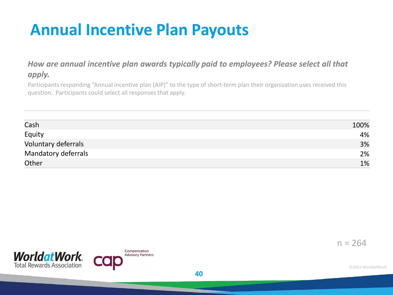### **Annual Incentive Plan Payouts**

#### *How are annual incentive plan awards typically paid to employees? Please select all that apply.*

Participants responding "Annual incentive plan (AIP)" to the type of short-term plan their organization uses received this question. Participants could select all responses that apply.

| Cash                | 100% |
|---------------------|------|
| Equity              | 4%   |
| Voluntary deferrals | 3%   |
| Mandatory deferrals | 2%   |
| Other               | 1%   |



 $n = 264$ 

©2021 WorldatWork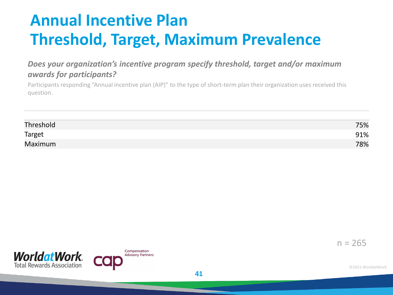### **Annual Incentive Plan Threshold, Target, Maximum Prevalence**

#### *Does your organization's incentive program specify threshold, target and/or maximum awards for participants?*

Participants responding "Annual incentive plan (AIP)" to the type of short-term plan their organization uses received this question.

| Threshold | 75% |
|-----------|-----|
| Target    | 91% |
| Maximum   | 78% |

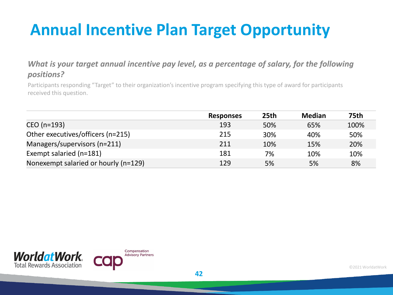### **Annual Incentive Plan Target Opportunity**

#### *What is your target annual incentive pay level, as a percentage of salary, for the following positions?*

Participants responding "Target" to their organization's incentive program specifying this type of award for participants received this question.

|                                      | <b>Responses</b> | 25th | <b>Median</b> | <b>75th</b> |
|--------------------------------------|------------------|------|---------------|-------------|
| CEO (n=193)                          | 193              | 50%  | 65%           | 100%        |
| Other executives/officers (n=215)    | 215              | 30%  | 40%           | 50%         |
| Managers/supervisors (n=211)         | 211              | 10%  | 15%           | 20%         |
| Exempt salaried (n=181)              | 181              | 7%   | 10%           | 10%         |
| Nonexempt salaried or hourly (n=129) | 129              | 5%   | 5%            | 8%          |

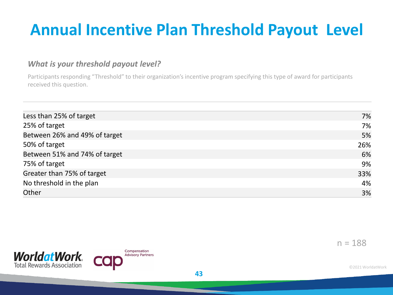### **Annual Incentive Plan Threshold Payout Level**

#### *What is your threshold payout level?*

Participants responding "Threshold" to their organization's incentive program specifying this type of award for participants received this question.

| Less than 25% of target       | 7%  |
|-------------------------------|-----|
| 25% of target                 | 7%  |
| Between 26% and 49% of target | 5%  |
| 50% of target                 | 26% |
| Between 51% and 74% of target | 6%  |
| 75% of target                 | 9%  |
| Greater than 75% of target    | 33% |
| No threshold in the plan      | 4%  |
| Other                         | 3%  |
|                               |     |

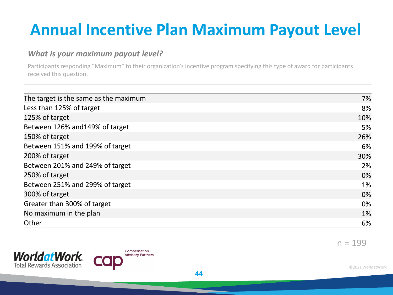### **Annual Incentive Plan Maximum Payout Level**

#### *What is your maximum payout level?*

Participants responding "Maximum" to their organization's incentive program specifying this type of award for participants received this question.

| 7%  |
|-----|
| 8%  |
| 10% |
| 5%  |
| 26% |
| 6%  |
| 30% |
| 2%  |
| 0%  |
| 1%  |
| 0%  |
| 0%  |
| 1%  |
| 6%  |
|     |





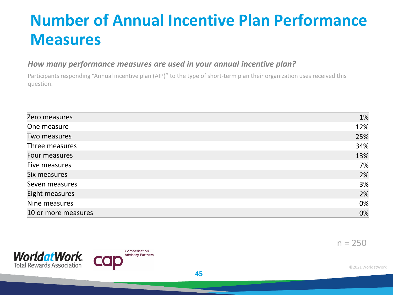### **Number of Annual Incentive Plan Performance Measures**

#### *How many performance measures are used in your annual incentive plan?*

Participants responding "Annual incentive plan (AIP)" to the type of short-term plan their organization uses received this question.

| Zero measures       | 1%  |
|---------------------|-----|
| One measure         | 12% |
| Two measures        | 25% |
| Three measures      | 34% |
| Four measures       | 13% |
| Five measures       | 7%  |
| Six measures        | 2%  |
| Seven measures      | 3%  |
| Eight measures      | 2%  |
| Nine measures       | 0%  |
| 10 or more measures | 0%  |





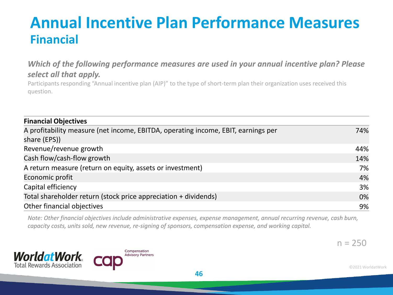### **Annual Incentive Plan Performance Measures Financial**

#### *Which of the following performance measures are used in your annual incentive plan? Please select all that apply.*

Participants responding "Annual incentive plan (AIP)" to the type of short-term plan their organization uses received this question.

| <b>Financial Objectives</b>                                                                       |     |
|---------------------------------------------------------------------------------------------------|-----|
| A profitability measure (net income, EBITDA, operating income, EBIT, earnings per<br>share (EPS)) | 74% |
| Revenue/revenue growth                                                                            | 44% |
| Cash flow/cash-flow growth                                                                        | 14% |
| A return measure (return on equity, assets or investment)                                         | 7%  |
| Economic profit                                                                                   | 4%  |
| Capital efficiency                                                                                | 3%  |
| Total shareholder return (stock price appreciation + dividends)                                   | 0%  |
| Other financial objectives                                                                        | 9%  |

*Note: Other financial objectives include administrative expenses, expense management, annual recurring revenue, cash burn, capacity costs, units sold, new revenue, re-signing of sponsors, compensation expense, and working capital.* 



 $n = 250$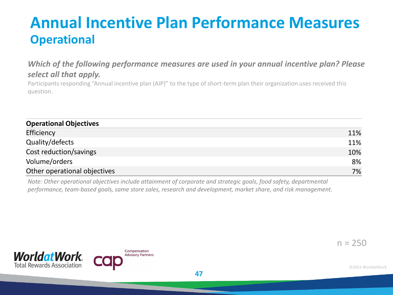### **Annual Incentive Plan Performance Measures Operational**

#### *Which of the following performance measures are used in your annual incentive plan? Please select all that apply.*

Participants responding "Annual incentive plan (AIP)" to the type of short-term plan their organization uses received this question.

| <b>Operational Objectives</b> |     |  |
|-------------------------------|-----|--|
| Efficiency                    | 11% |  |
| Quality/defects               | 11% |  |
| Cost reduction/savings        | 10% |  |
| Volume/orders                 | 8%  |  |
| Other operational objectives  | 7%  |  |

*Note: Other operational objectives include attainment of corporate and strategic goals, food safety, departmental performance, team-based goals, same store sales, research and development, market share, and risk management.* 

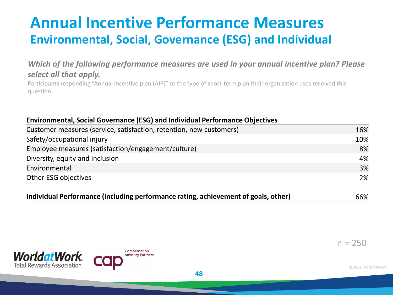### **Annual Incentive Performance Measures Environmental, Social, Governance (ESG) and Individual**

#### *Which of the following performance measures are used in your annual incentive plan? Please select all that apply.*

Participants responding "Annual incentive plan (AIP)" to the type of short-term plan their organization uses received this question.

| <b>Environmental, Social Governance (ESG) and Individual Performance Objectives</b> |     |
|-------------------------------------------------------------------------------------|-----|
| Customer measures (service, satisfaction, retention, new customers)                 | 16% |
| Safety/occupational injury                                                          | 10% |
| Employee measures (satisfaction/engagement/culture)                                 | 8%  |
| Diversity, equity and inclusion                                                     | 4%  |
| Environmental                                                                       | 3%  |
| Other ESG objectives                                                                | 2%  |

| Individual Performance (including performance rating, achievement of goals, other) | 66% |
|------------------------------------------------------------------------------------|-----|
|------------------------------------------------------------------------------------|-----|





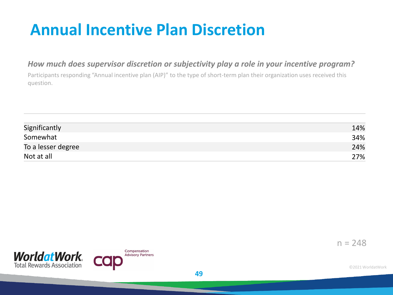### **Annual Incentive Plan Discretion**

#### *How much does supervisor discretion or subjectivity play a role in your incentive program?*

Participants responding "Annual incentive plan (AIP)" to the type of short-term plan their organization uses received this question.

| Significantly      | 14% |
|--------------------|-----|
| Somewhat           | 34% |
| To a lesser degree | 24% |
| Not at all         | 27% |

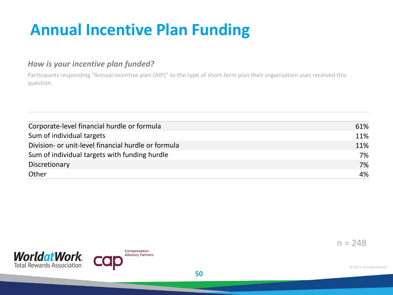### **Annual Incentive Plan Funding**

#### *How is your incentive plan funded?*

Participants responding "Annual incentive plan (AIP)" to the type of short-term plan their organization uses received this question.

| Corporate-level financial hurdle or formula         | 61% |
|-----------------------------------------------------|-----|
| Sum of individual targets                           | 11% |
| Division- or unit-level financial hurdle or formula | 11% |
| Sum of individual targets with funding hurdle       | 7%  |
| Discretionary                                       | 7%  |
| Other                                               | 4%  |

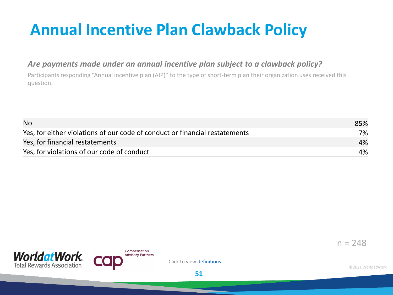### **Annual Incentive Plan Clawback Policy**

#### *Are payments made under an annual incentive plan subject to a clawback policy?*

Participants responding "Annual incentive plan (AIP)" to the type of short-term plan their organization uses received this question.

| <b>No</b>                                                                   | 85% |
|-----------------------------------------------------------------------------|-----|
| Yes, for either violations of our code of conduct or financial restatements | 7%  |
| Yes, for financial restatements                                             | 4%  |
| Yes, for violations of our code of conduct                                  | 4%  |





Click to view definitions.

**51**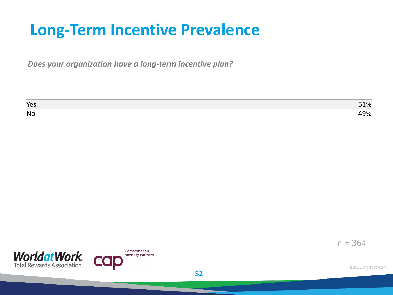### **Long-Term Incentive Prevalence**

*Does your organization have a long-term incentive plan?*

| Yes       | 51% |
|-----------|-----|
| <b>No</b> | 49% |

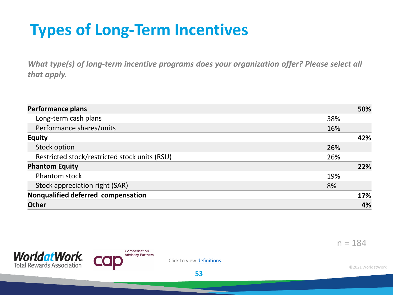### **Types of Long-Term Incentives**

*What type(s) of long-term incentive programs does your organization offer? Please select all that apply.* 

| 50% |
|-----|
| 38% |
| 16% |
| 42% |
| 26% |
| 26% |
| 22% |
| 19% |
| 8%  |
| 17% |
| 4%  |
|     |



**WorldatWork Total Rewards Association** 



Click to view definitions.

©2021 WorldatWork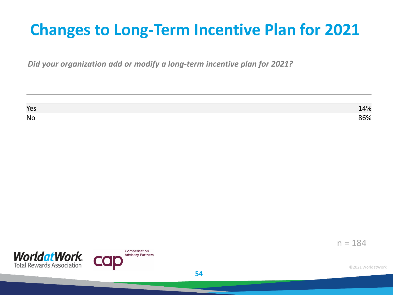### **Changes to Long-Term Incentive Plan for 2021**

*Did your organization add or modify a long-term incentive plan for 2021?*

| Yes       | 14% |
|-----------|-----|
| <b>No</b> | 86% |



 $n = 184$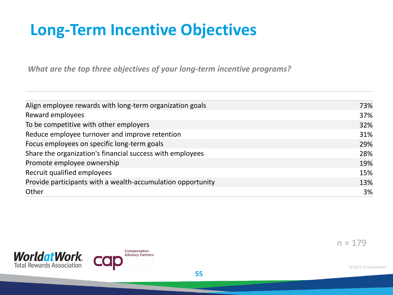### **Long-Term Incentive Objectives**

*What are the top three objectives of your long-term incentive programs?* 

| Align employee rewards with long-term organization goals    | 73% |
|-------------------------------------------------------------|-----|
| Reward employees                                            | 37% |
| To be competitive with other employers                      | 32% |
| Reduce employee turnover and improve retention              | 31% |
| Focus employees on specific long-term goals                 | 29% |
| Share the organization's financial success with employees   | 28% |
| Promote employee ownership                                  | 19% |
| Recruit qualified employees                                 | 15% |
| Provide participants with a wealth-accumulation opportunity | 13% |
| Other                                                       | 3%  |
|                                                             |     |

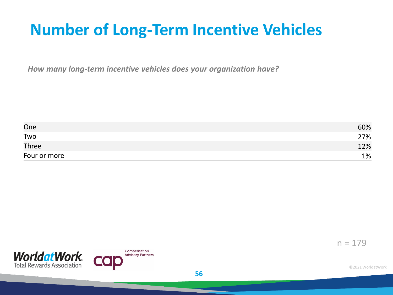### **Number of Long-Term Incentive Vehicles**

*How many long-term incentive vehicles does your organization have?*

| One          | 60% |
|--------------|-----|
| Two          | 27% |
| Three        | 12% |
| Four or more | 1%  |



 $n = 179$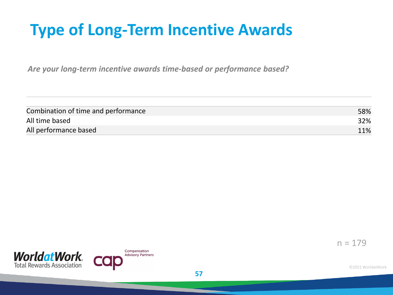### **Type of Long-Term Incentive Awards**

*Are your long-term incentive awards time-based or performance based?*

| Combination of time and performance | 58% |
|-------------------------------------|-----|
| All time based                      | 32% |
| All performance based               | 11% |



 $n = 179$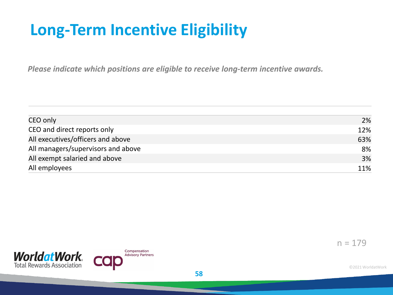### **Long-Term Incentive Eligibility**

*Please indicate which positions are eligible to receive long-term incentive awards.* 

| CEO only                           | 2%  |
|------------------------------------|-----|
| CEO and direct reports only        | 12% |
| All executives/officers and above  | 63% |
| All managers/supervisors and above | 8%  |
| All exempt salaried and above      | 3%  |
| All employees                      | 11% |

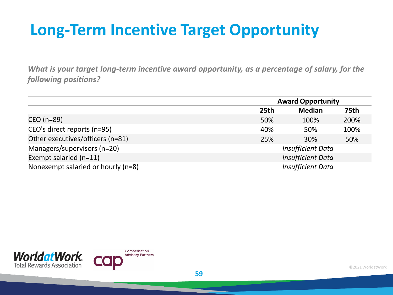### **Long-Term Incentive Target Opportunity**

*What is your target long-term incentive award opportunity, as a percentage of salary, for the following positions?*

|                                    |                          | <b>Award Opportunity</b> |             |  |
|------------------------------------|--------------------------|--------------------------|-------------|--|
|                                    | 25 <sub>th</sub>         | <b>Median</b>            | <b>75th</b> |  |
| CEO (n=89)                         | 50%                      | 100%                     | 200%        |  |
| CEO's direct reports (n=95)        | 40%                      | 50%                      | 100%        |  |
| Other executives/officers (n=81)   | 25%                      | 30%                      | 50%         |  |
| Managers/supervisors (n=20)        |                          | <b>Insufficient Data</b> |             |  |
| Exempt salaried (n=11)             | <b>Insufficient Data</b> |                          |             |  |
| Nonexempt salaried or hourly (n=8) | <b>Insufficient Data</b> |                          |             |  |

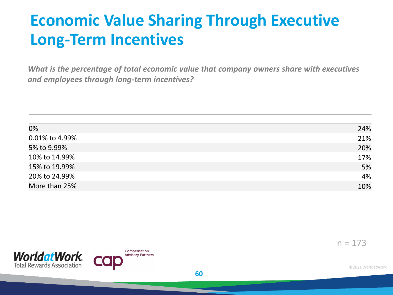### **Economic Value Sharing Through Executive Long-Term Incentives**

*What is the percentage of total economic value that company owners share with executives and employees through long-term incentives?* 

| 0%             | 24% |
|----------------|-----|
| 0.01% to 4.99% | 21% |
| 5% to 9.99%    | 20% |
| 10% to 14.99%  | 17% |
| 15% to 19.99%  | 5%  |
| 20% to 24.99%  | 4%  |
| More than 25%  | 10% |

**60**

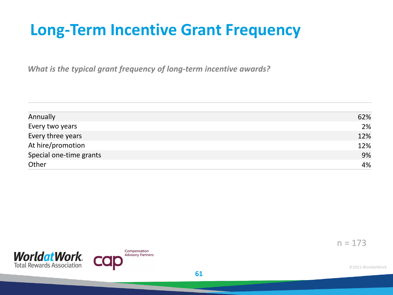### **Long-Term Incentive Grant Frequency**

*What is the typical grant frequency of long-term incentive awards?*

| Annually                | 62% |
|-------------------------|-----|
| Every two years         | 2%  |
| Every three years       | 12% |
| At hire/promotion       | 12% |
| Special one-time grants | 9%  |
| Other                   | 4%  |

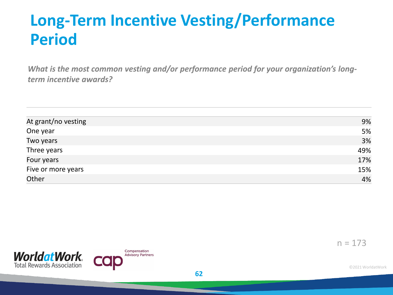### **Long-Term Incentive Vesting/Performance Period**

*What is the most common vesting and/or performance period for your organization's longterm incentive awards?*

| At grant/no vesting | 9%  |
|---------------------|-----|
| One year            | 5%  |
| Two years           | 3%  |
| Three years         | 49% |
| Four years          | 17% |
| Five or more years  | 15% |
| Other               | 4%  |

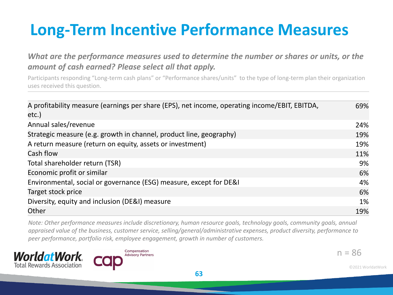### **Long-Term Incentive Performance Measures**

*What are the performance measures used to determine the number or shares or units, or the amount of cash earned? Please select all that apply.*

Participants responding "Long-term cash plans" or "Performance shares/units" to the type of long-term plan their organization uses received this question.

| A profitability measure (earnings per share (EPS), net income, operating income/EBIT, EBITDA,<br>etc.) | 69% |
|--------------------------------------------------------------------------------------------------------|-----|
| Annual sales/revenue                                                                                   | 24% |
| Strategic measure (e.g. growth in channel, product line, geography)                                    | 19% |
| A return measure (return on equity, assets or investment)                                              | 19% |
| Cash flow                                                                                              | 11% |
| Total shareholder return (TSR)                                                                         | 9%  |
| Economic profit or similar                                                                             | 6%  |
| Environmental, social or governance (ESG) measure, except for DE&I                                     | 4%  |
| Target stock price                                                                                     | 6%  |
| Diversity, equity and inclusion (DE&I) measure                                                         | 1%  |
| Other                                                                                                  | 19% |

*Note: Other performance measures include discretionary, human resource goals, technology goals, community goals, annual appraised value of the business, customer service, selling/general/administrative expenses, product diversity, performance to peer performance, portfolio risk, employee engagement, growth in number of customers.*





 $n = 86$ 

©2021 WorldatWork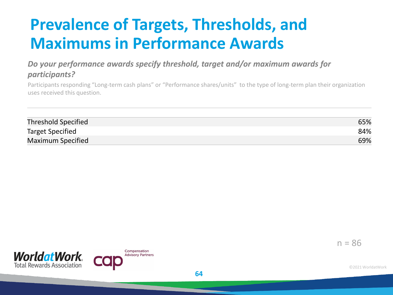### **Prevalence of Targets, Thresholds, and Maximums in Performance Awards**

#### *Do your performance awards specify threshold, target and/or maximum awards for participants?*

Participants responding "Long-term cash plans" or "Performance shares/units" to the type of long-term plan their organization uses received this question.

| <b>Threshold Specified</b> | 65% |
|----------------------------|-----|
| <b>Target Specified</b>    | 84% |
| Maximum Specified          | 69% |



 $n = 86$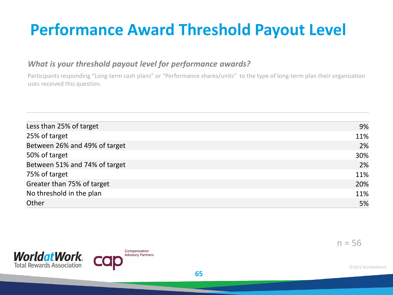### **Performance Award Threshold Payout Level**

#### *What is your threshold payout level for performance awards?*

Participants responding "Long-term cash plans" or "Performance shares/units" to the type of long-term plan their organization uses received this question.

| Less than 25% of target       | 9%  |
|-------------------------------|-----|
| 25% of target                 | 11% |
| Between 26% and 49% of target | 2%  |
| 50% of target                 | 30% |
| Between 51% and 74% of target | 2%  |
| 75% of target                 | 11% |
| Greater than 75% of target    | 20% |
| No threshold in the plan      | 11% |
| Other                         | 5%  |

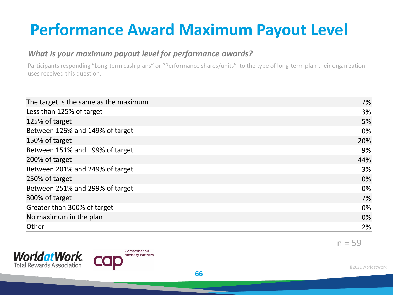### **Performance Award Maximum Payout Level**

#### *What is your maximum payout level for performance awards?*

Participants responding "Long-term cash plans" or "Performance shares/units" to the type of long-term plan their organization uses received this question.

| The target is the same as the maximum | 7%  |
|---------------------------------------|-----|
| Less than 125% of target              | 3%  |
| 125% of target                        | 5%  |
| Between 126% and 149% of target       | 0%  |
| 150% of target                        | 20% |
| Between 151% and 199% of target       | 9%  |
| 200% of target                        | 44% |
| Between 201% and 249% of target       | 3%  |
| 250% of target                        | 0%  |
| Between 251% and 299% of target       | 0%  |
| 300% of target                        | 7%  |
| Greater than 300% of target           | 0%  |
| No maximum in the plan                | 0%  |
| Other                                 | 2%  |
|                                       |     |



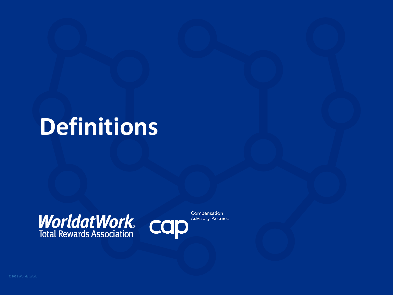# **Definitions**

# **WorldatWork** COD



Compensation **Advisory Partners**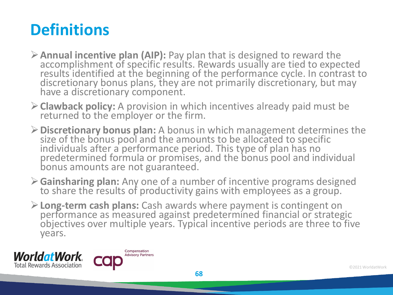### **Definitions**

- **Annual incentive plan (AIP):** Pay plan that is designed to reward the accomplishment of specific results. Rewards usually are tied to expected results identified at the beginning of the performance cycle. In contrast to discretionary bonus plans, they are not primarily discretionary, but may have a discretionary component.
- **Clawback policy:** A provision in which incentives already paid must be returned to the employer or the firm.
- **Discretionary bonus plan:** A bonus in which management determines the size of the bonus pool and the amounts to be allocated to specific individuals after a performance period. This type of plan has no predetermined formula or promises, and the bonus pool and individual bonus amounts are not guaranteed.
- **Gainsharing plan:** Any one of a number of incentive programs designed to share the results of productivity gains with employees as a group.
- **Long-term cash plans:** Cash awards where payment is contingent on performance as measured against predetermined financial or strategic objectives over multiple years. Typical incentive periods are three to five years.



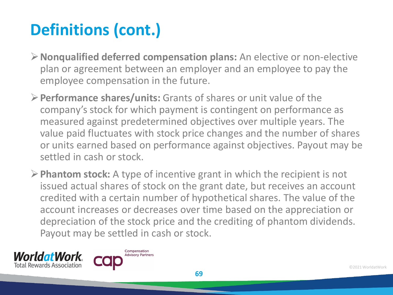## **Definitions (cont.)**

- **Nonqualified deferred compensation plans:** An elective or non-elective plan or agreement between an employer and an employee to pay the employee compensation in the future.
- **Performance shares/units:** Grants of shares or unit value of the company's stock for which payment is contingent on performance as measured against predetermined objectives over multiple years. The value paid fluctuates with stock price changes and the number of shares or units earned based on performance against objectives. Payout may be settled in cash or stock.
- **Phantom stock:** A type of incentive grant in which the recipient is not issued actual shares of stock on the grant date, but receives an account credited with a certain number of hypothetical shares. The value of the account increases or decreases over time based on the appreciation or depreciation of the stock price and the crediting of phantom dividends. Payout may be settled in cash or stock.



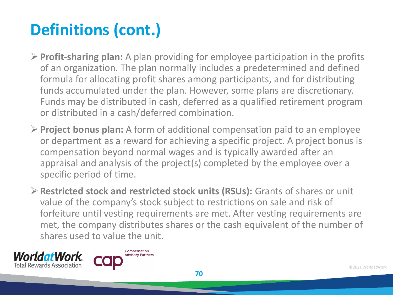# **Definitions (cont.)**

- **Profit-sharing plan:** A plan providing for employee participation in the profits of an organization. The plan normally includes a predetermined and defined formula for allocating profit shares among participants, and for distributing funds accumulated under the plan. However, some plans are discretionary. Funds may be distributed in cash, deferred as a qualified retirement program or distributed in a cash/deferred combination.
- **Project bonus plan:** A form of additional compensation paid to an employee or department as a reward for achieving a specific project. A project bonus is compensation beyond normal wages and is typically awarded after an appraisal and analysis of the project(s) completed by the employee over a specific period of time.
- **Restricted stock and restricted stock units (RSUs):** Grants of shares or unit value of the company's stock subject to restrictions on sale and risk of forfeiture until vesting requirements are met. After vesting requirements are met, the company distributes shares or the cash equivalent of the number of shares used to value the unit.



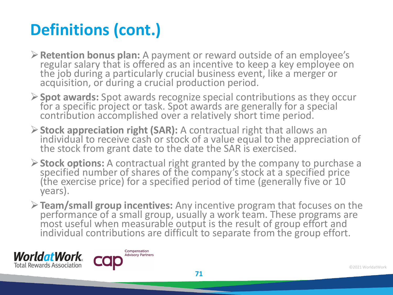# **Definitions (cont.)**

- **Retention bonus plan:** A payment or reward outside of an employee's regular salary that is offered as an incentive to keep a key employee on the job during a particularly crucial business event, like a merger or acquisition, or during a crucial production period.
- **Spot awards:** Spot awards recognize special contributions as they occur for a specific project or task. Spot awards are generally for a special contribution accomplished over a relatively short time period.
- **Stock appreciation right (SAR):** A contractual right that allows an individual to receive cash or stock of a value equal to the appreciation of the stock from grant date to the date the SAR is exercised.
- **Stock options:** A contractual right granted by the company to purchase a specified number of shares of the company's stock at a specified price (the exercise price) for a specified period of time (generally five or 10 years).
- **Team/small group incentives:** Any incentive program that focuses on the performance of a small group, usually a work team. These programs are most useful when measurable output is the result of group effort and individual contributions are difficult to separate from the group effort.



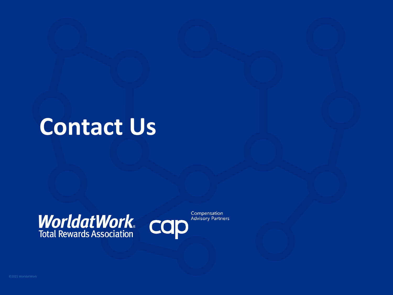## **Contact Us**

# **WorldatWork COD**<br>Total Rewards Association



Compensation **Advisory Partners**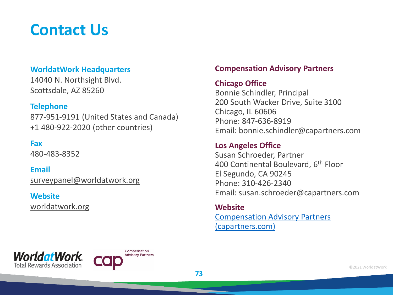### **Contact Us**

#### **WorldatWork Headquarters**

14040 N. Northsight Blvd. Scottsdale, AZ 85260

#### **Telephone**

877-951-9191 (United States and Canada) +1 480-922-2020 (other countries)

#### **Fax**

480-483-8352

**Email** [surveypanel@worldatwork.org](mailto:surveypanel@worldatwork.org)

#### **Website** [worldatwork.org](http://www.worldatwork.org/)

#### **Compensation Advisory Partners**

#### **Chicago Office**

Bonnie Schindler, Principal 200 South Wacker Drive, Suite 3100 Chicago, IL 60606 Phone: 847-636-8919 Email: bonnie.schindler@capartners.com

#### **Los Angeles Office**

Susan Schroeder, Partner 400 Continental Boulevard, 6th Floor El Segundo, CA 90245 Phone: 310-426-2340 Email: susan.schroeder@capartners.com

**Website** [Compensation Advisory Partners](https://www.capartners.com/) 

(capartners.com)